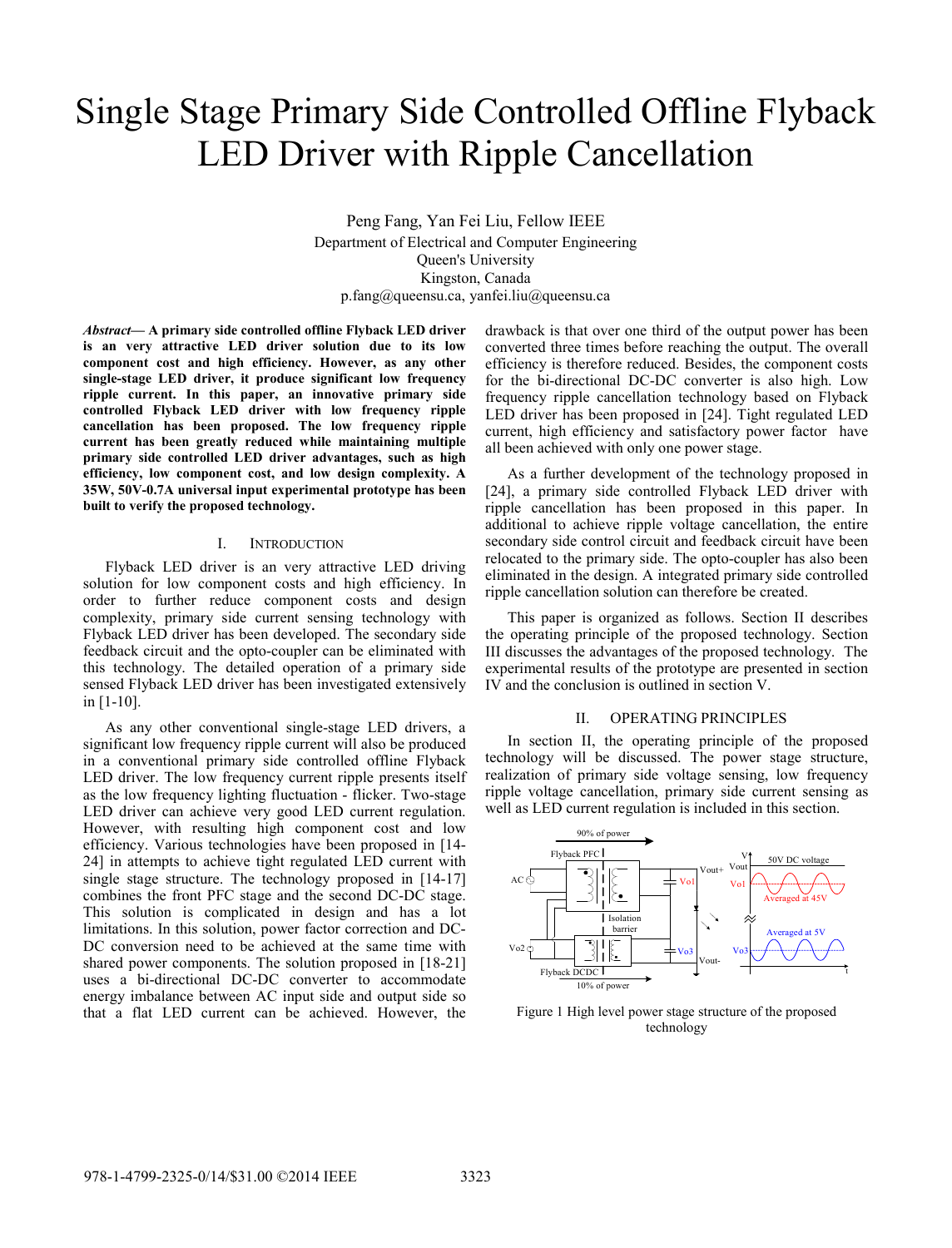# Single Stage Primary Side Controlled Offline Flyback LED Driver with Ripple Cancellation

Peng Fang, Yan Fei Liu, Fellow IEEE Department of Electrical and Computer Engineering Queen's University Kingston, Canada p.fang@queensu.ca, yanfei.liu@queensu.ca

*Abstract***— A primary side controlled offline Flyback LED driver is an very attractive LED driver solution due to its low component cost and high efficiency. However, as any other single-stage LED driver, it produce significant low frequency ripple current. In this paper, an innovative primary side controlled Flyback LED driver with low frequency ripple cancellation has been proposed. The low frequency ripple current has been greatly reduced while maintaining multiple primary side controlled LED driver advantages, such as high efficiency, low component cost, and low design complexity. A 35W, 50V-0.7A universal input experimental prototype has been built to verify the proposed technology.** 

#### I. INTRODUCTION

Flyback LED driver is an very attractive LED driving solution for low component costs and high efficiency. In order to further reduce component costs and design complexity, primary side current sensing technology with Flyback LED driver has been developed. The secondary side feedback circuit and the opto-coupler can be eliminated with this technology. The detailed operation of a primary side sensed Flyback LED driver has been investigated extensively in [1-10].

As any other conventional single-stage LED drivers, a significant low frequency ripple current will also be produced in a conventional primary side controlled offline Flyback LED driver. The low frequency current ripple presents itself as the low frequency lighting fluctuation - flicker. Two-stage LED driver can achieve very good LED current regulation. However, with resulting high component cost and low efficiency. Various technologies have been proposed in [14- 24] in attempts to achieve tight regulated LED current with single stage structure. The technology proposed in [14-17] combines the front PFC stage and the second DC-DC stage. This solution is complicated in design and has a lot limitations. In this solution, power factor correction and DC-DC conversion need to be achieved at the same time with shared power components. The solution proposed in [18-21] uses a bi-directional DC-DC converter to accommodate energy imbalance between AC input side and output side so that a flat LED current can be achieved. However, the

drawback is that over one third of the output power has been converted three times before reaching the output. The overall efficiency is therefore reduced. Besides, the component costs for the bi-directional DC-DC converter is also high. Low frequency ripple cancellation technology based on Flyback LED driver has been proposed in [24]. Tight regulated LED current, high efficiency and satisfactory power factor have all been achieved with only one power stage.

As a further development of the technology proposed in [24], a primary side controlled Flyback LED driver with ripple cancellation has been proposed in this paper. In additional to achieve ripple voltage cancellation, the entire secondary side control circuit and feedback circuit have been relocated to the primary side. The opto-coupler has also been eliminated in the design. A integrated primary side controlled ripple cancellation solution can therefore be created.

This paper is organized as follows. Section II describes the operating principle of the proposed technology. Section III discusses the advantages of the proposed technology. The experimental results of the prototype are presented in section IV and the conclusion is outlined in section V.

#### II. OPERATING PRINCIPLES

In section II, the operating principle of the proposed technology will be discussed. The power stage structure, realization of primary side voltage sensing, low frequency ripple voltage cancellation, primary side current sensing as well as LED current regulation is included in this section.



Figure 1 High level power stage structure of the proposed technology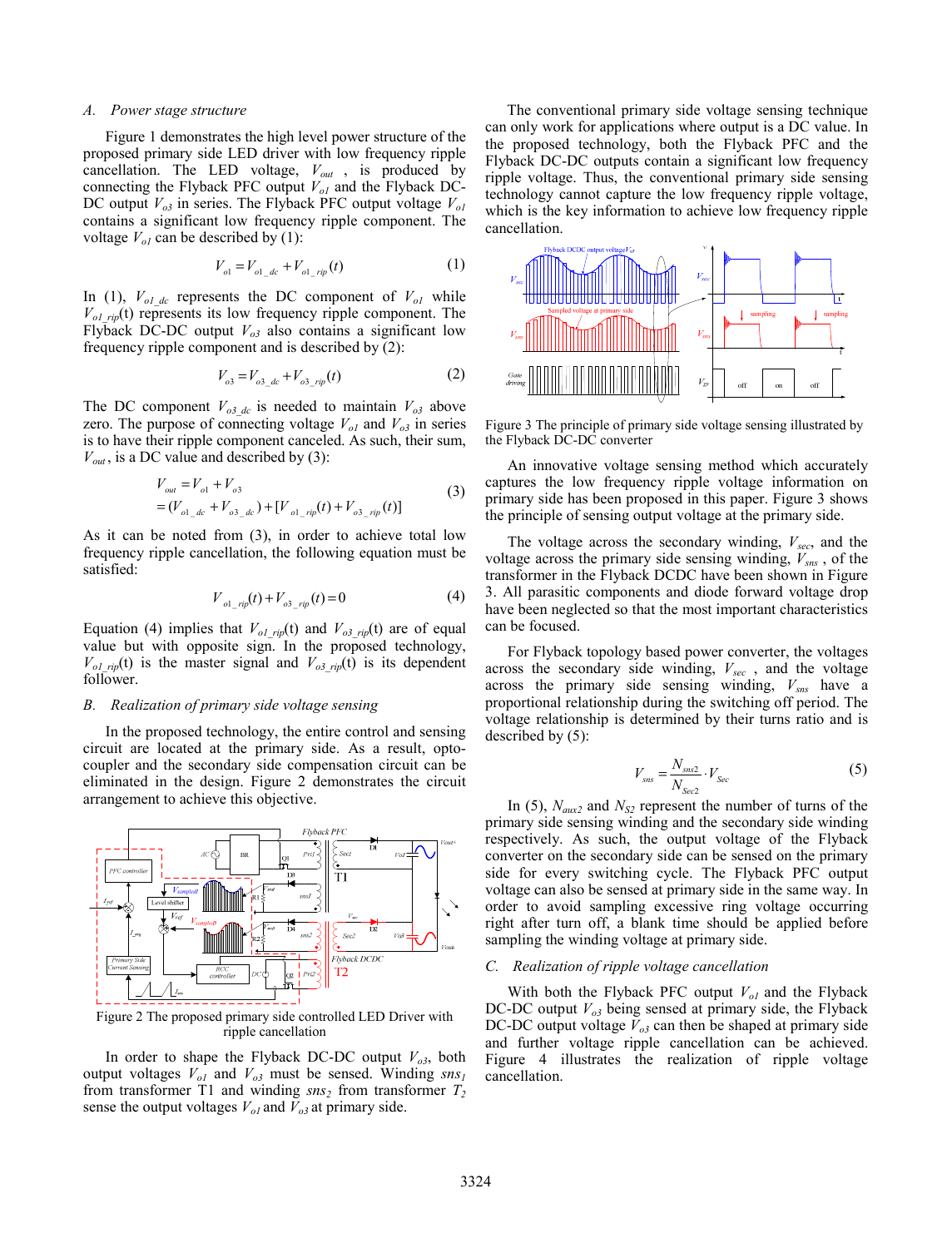## *A. Power stage structure*

Figure 1 demonstrates the high level power structure of the proposed primary side LED driver with low frequency ripple cancellation. The LED voltage,  $V_{out}$ , is produced by connecting the Flyback PFC output  $V_{ol}$  and the Flyback DC-DC output  $V_{o3}$  in series. The Flyback PFC output voltage  $V_{ol}$ contains a significant low frequency ripple component. The voltage  $V_{ol}$  can be described by (1):

$$
V_{ol} = V_{ol\_dc} + V_{ol\_rip}(t)
$$
 (1)

In (1),  $V_{ol, dc}$  represents the DC component of  $V_{ol}$  while  $V_{olrip}(t)$  represents its low frequency ripple component. The Flyback DC-DC output  $V_{o3}$  also contains a significant low frequency ripple component and is described by (2):

$$
V_{o3} = V_{o3\_dc} + V_{o3\_rip}(t)
$$
 (2)

The DC component  $V_{o3_d}$  is needed to maintain  $V_{o3_d}$  above zero. The purpose of connecting voltage  $V_{ol}$  and  $V_{ol}$  in series is to have their ripple component canceled. As such, their sum,  $V_{out}$ , is a DC value and described by (3):

$$
V_{out} = V_{o1} + V_{o3}
$$
  
=  $(V_{o1\_de} + V_{o3\_de}) + [V_{o1\_rip}(t) + V_{o3\_rip}(t)]$  (3)

As it can be noted from (3), in order to achieve total low frequency ripple cancellation, the following equation must be satisfied:

$$
V_{o1\_rip}(t) + V_{o3\_rip}(t) = 0
$$
 (4)

Equation (4) implies that  $V_{olrip}(t)$  and  $V_{ol-sp}(t)$  are of equal value but with opposite sign. In the proposed technology,  $V_{olrip}(t)$  is the master signal and  $V_{olrip}(t)$  is its dependent follower.

## *B. Realization of primary side voltage sensing*

In the proposed technology, the entire control and sensing circuit are located at the primary side. As a result, optocoupler and the secondary side compensation circuit can be eliminated in the design. Figure 2 demonstrates the circuit arrangement to achieve this objective.



Figure 2 The proposed primary side controlled LED Driver with ripple cancellation

In order to shape the Flyback DC-DC output  $V_{o3}$ , both output voltages  $V_{ol}$  and  $V_{ol}$  must be sensed. Winding  $sns_l$ from transformer T1 and winding  $sns_2$  from transformer  $T_2$ sense the output voltages  $V_{ol}$  and  $V_{ol}$  at primary side.

The conventional primary side voltage sensing technique can only work for applications where output is a DC value. In the proposed technology, both the Flyback PFC and the Flyback DC-DC outputs contain a significant low frequency ripple voltage. Thus, the conventional primary side sensing technology cannot capture the low frequency ripple voltage, which is the key information to achieve low frequency ripple cancellation.



Figure 3 The principle of primary side voltage sensing illustrated by the Flyback DC-DC converter

An innovative voltage sensing method which accurately captures the low frequency ripple voltage information on primary side has been proposed in this paper. Figure 3 shows the principle of sensing output voltage at the primary side.

The voltage across the secondary winding, *Vsec*, and the voltage across the primary side sensing winding,  $V_{\text{SMS}}$ , of the transformer in the Flyback DCDC have been shown in Figure 3. All parasitic components and diode forward voltage drop have been neglected so that the most important characteristics can be focused.

For Flyback topology based power converter, the voltages across the secondary side winding,  $V_{sec}$ , and the voltage across the primary side sensing winding,  $V_{\text{SBS}}$  have a proportional relationship during the switching off period. The voltage relationship is determined by their turns ratio and is described by (5):

$$
V_{\rm{sns}} = \frac{N_{\rm{sns2}}}{N_{\rm{Sec2}}} \cdot V_{\rm{Sec}}
$$
 (5)

In (5),  $N_{\text{aux2}}$  and  $N_{\text{S2}}$  represent the number of turns of the primary side sensing winding and the secondary side winding respectively. As such, the output voltage of the Flyback converter on the secondary side can be sensed on the primary side for every switching cycle. The Flyback PFC output voltage can also be sensed at primary side in the same way. In order to avoid sampling excessive ring voltage occurring right after turn off, a blank time should be applied before sampling the winding voltage at primary side.

## *C. Realization of ripple voltage cancellation*

With both the Flyback PFC output  $V_{ol}$  and the Flyback DC-DC output  $V_{o3}$  being sensed at primary side, the Flyback DC-DC output voltage  $V_{o3}$  can then be shaped at primary side and further voltage ripple cancellation can be achieved. Figure 4 illustrates the realization of ripple voltage cancellation.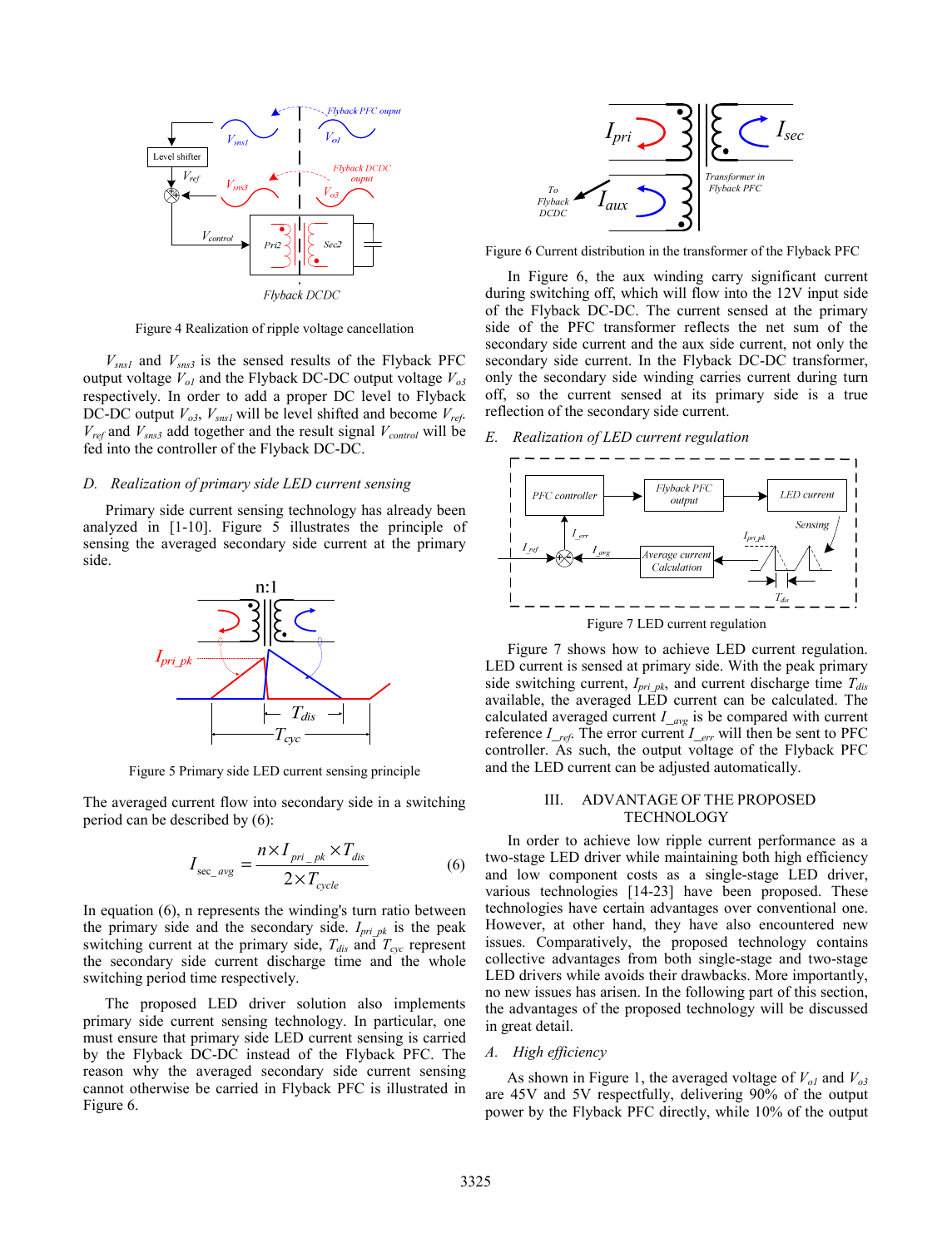

Figure 4 Realization of ripple voltage cancellation

 $V_{sns1}$  and  $V_{sns3}$  is the sensed results of the Flyback PFC output voltage  $V_{ol}$  and the Flyback DC-DC output voltage  $V_{ol}$ respectively. In order to add a proper DC level to Flyback DC-DC output  $V_{o3}$ ,  $V_{snsl}$  will be level shifted and become  $V_{ref}$ .  $V_{ref}$  and  $V_{sns3}$  add together and the result signal  $V_{control}$  will be fed into the controller of the Flyback DC-DC.

#### *D. Realization of primary side LED current sensing*

Primary side current sensing technology has already been analyzed in [1-10]. Figure 5 illustrates the principle of sensing the averaged secondary side current at the primary side.



Figure 5 Primary side LED current sensing principle

The averaged current flow into secondary side in a switching period can be described by (6):

$$
I_{\sec_{\text{avg}}} = \frac{n \times I_{\text{pri}_{\text{pk}}} \times T_{\text{dis}}}{2 \times T_{\text{cycle}}}
$$
 (6)

In equation (6), n represents the winding's turn ratio between the primary side and the secondary side. *Ipri\_pk* is the peak switching current at the primary side,  $T_{dis}$  and  $T_{cyc}$  represent the secondary side current discharge time and the whole switching period time respectively.

The proposed LED driver solution also implements primary side current sensing technology. In particular, one must ensure that primary side LED current sensing is carried by the Flyback DC-DC instead of the Flyback PFC. The reason why the averaged secondary side current sensing cannot otherwise be carried in Flyback PFC is illustrated in Figure 6.



Figure 6 Current distribution in the transformer of the Flyback PFC

In Figure 6, the aux winding carry significant current during switching off, which will flow into the 12V input side of the Flyback DC-DC. The current sensed at the primary side of the PFC transformer reflects the net sum of the secondary side current and the aux side current, not only the secondary side current. In the Flyback DC-DC transformer, only the secondary side winding carries current during turn off, so the current sensed at its primary side is a true reflection of the secondary side current.

# *E. Realization of LED current regulation*



Figure 7 shows how to achieve LED current regulation. LED current is sensed at primary side. With the peak primary side switching current,  $I_{pri\_pk}$ , and current discharge time  $T_{dis}$ available, the averaged LED current can be calculated. The calculated averaged current  $I_{avg}$  is be compared with current reference *I\_ref*. The error current *I\_err* will then be sent to PFC controller. As such, the output voltage of the Flyback PFC and the LED current can be adjusted automatically.

## III. ADVANTAGE OF THE PROPOSED TECHNOLOGY

In order to achieve low ripple current performance as a two-stage LED driver while maintaining both high efficiency and low component costs as a single-stage LED driver, various technologies [14-23] have been proposed. These technologies have certain advantages over conventional one. However, at other hand, they have also encountered new issues. Comparatively, the proposed technology contains collective advantages from both single-stage and two-stage LED drivers while avoids their drawbacks. More importantly, no new issues has arisen. In the following part of this section, the advantages of the proposed technology will be discussed in great detail.

# *A. High efficiency*

As shown in Figure 1, the averaged voltage of  $V_{ol}$  and  $V_{ol}$ are 45V and 5V respectfully, delivering 90% of the output power by the Flyback PFC directly, while 10% of the output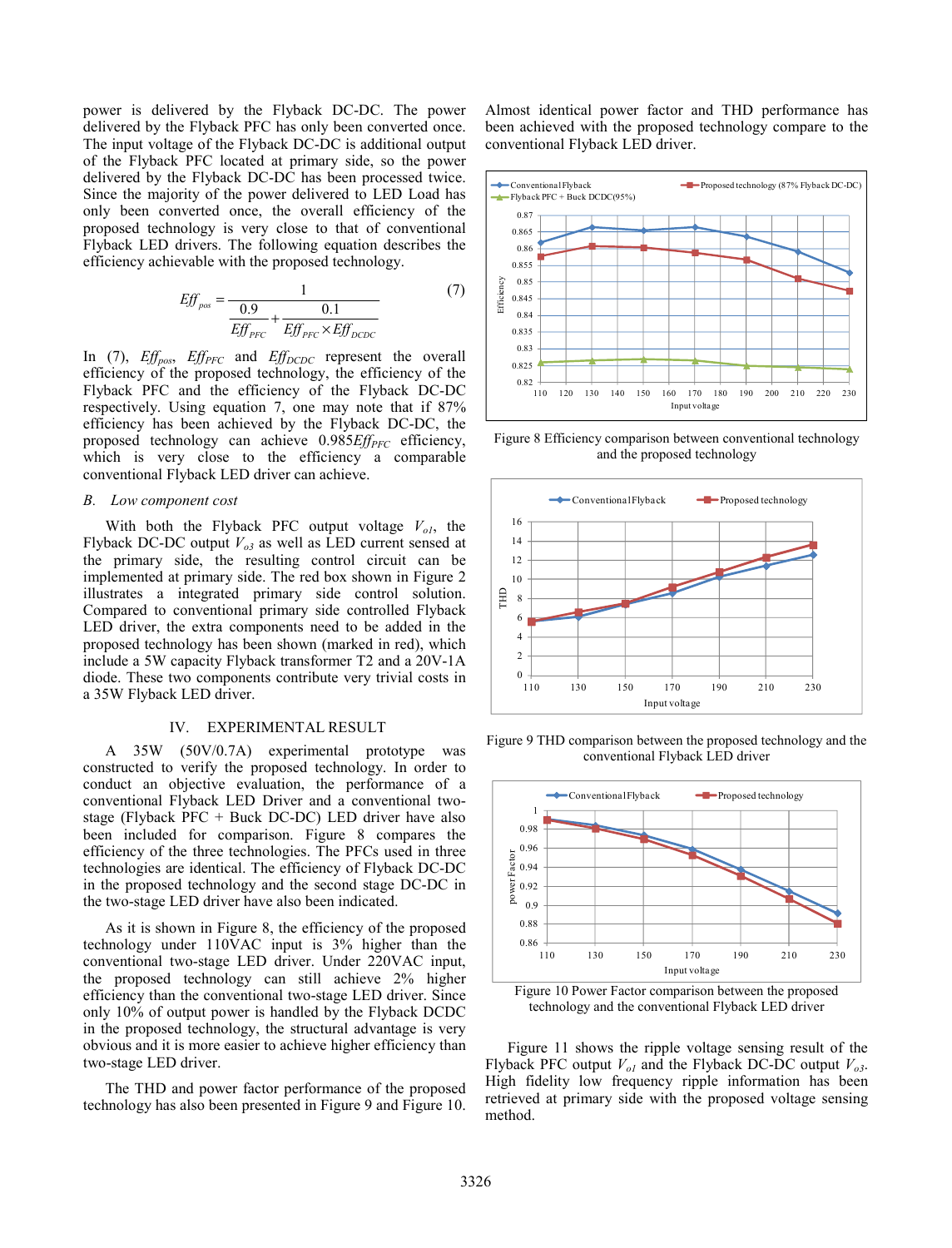power is delivered by the Flyback DC-DC. The power delivered by the Flyback PFC has only been converted once. The input voltage of the Flyback DC-DC is additional output of the Flyback PFC located at primary side, so the power delivered by the Flyback DC-DC has been processed twice. Since the majority of the power delivered to LED Load has only been converted once, the overall efficiency of the proposed technology is very close to that of conventional Flyback LED drivers. The following equation describes the efficiency achievable with the proposed technology.

$$
Effpos = \frac{1}{\frac{0.9}{EffPFC} + \frac{0.1}{EffPFC \times EffDCDC}} (7)
$$

In (7), *Eff<sub>pos</sub>*, *Eff<sub>PFC</sub>* and *Eff<sub>DCDC</sub>* represent the overall efficiency of the proposed technology, the efficiency of the Flyback PFC and the efficiency of the Flyback DC-DC respectively. Using equation 7, one may note that if 87% efficiency has been achieved by the Flyback DC-DC, the proposed technology can achieve 0.985*Eff<sub>PFC</sub>* efficiency, which is very close to the efficiency a comparable conventional Flyback LED driver can achieve.

#### *B. Low component cost*

With both the Flyback PFC output voltage  $V_{ol}$ , the Flyback DC-DC output  $V_{o3}$  as well as LED current sensed at the primary side, the resulting control circuit can be implemented at primary side. The red box shown in Figure 2 illustrates a integrated primary side control solution. Compared to conventional primary side controlled Flyback LED driver, the extra components need to be added in the proposed technology has been shown (marked in red), which include a 5W capacity Flyback transformer T2 and a 20V-1A diode. These two components contribute very trivial costs in a 35W Flyback LED driver.

## IV. EXPERIMENTAL RESULT

A 35W (50V/0.7A) experimental prototype was constructed to verify the proposed technology. In order to conduct an objective evaluation, the performance of a conventional Flyback LED Driver and a conventional twostage (Flyback PFC + Buck DC-DC) LED driver have also been included for comparison. Figure 8 compares the efficiency of the three technologies. The PFCs used in three technologies are identical. The efficiency of Flyback DC-DC in the proposed technology and the second stage DC-DC in the two-stage LED driver have also been indicated.

As it is shown in Figure 8, the efficiency of the proposed technology under 110VAC input is 3% higher than the conventional two-stage LED driver. Under 220VAC input, the proposed technology can still achieve 2% higher efficiency than the conventional two-stage LED driver. Since only 10% of output power is handled by the Flyback DCDC in the proposed technology, the structural advantage is very obvious and it is more easier to achieve higher efficiency than two-stage LED driver.

The THD and power factor performance of the proposed technology has also been presented in Figure 9 and Figure 10. Almost identical power factor and THD performance has been achieved with the proposed technology compare to the conventional Flyback LED driver.



Figure 8 Efficiency comparison between conventional technology and the proposed technology



Figure 9 THD comparison between the proposed technology and the conventional Flyback LED driver



Figure 10 Power Factor comparison between the proposed technology and the conventional Flyback LED driver

Figure 11 shows the ripple voltage sensing result of the Flyback PFC output  $V_{ol}$  and the Flyback DC-DC output  $V_{ol}$ . High fidelity low frequency ripple information has been retrieved at primary side with the proposed voltage sensing method.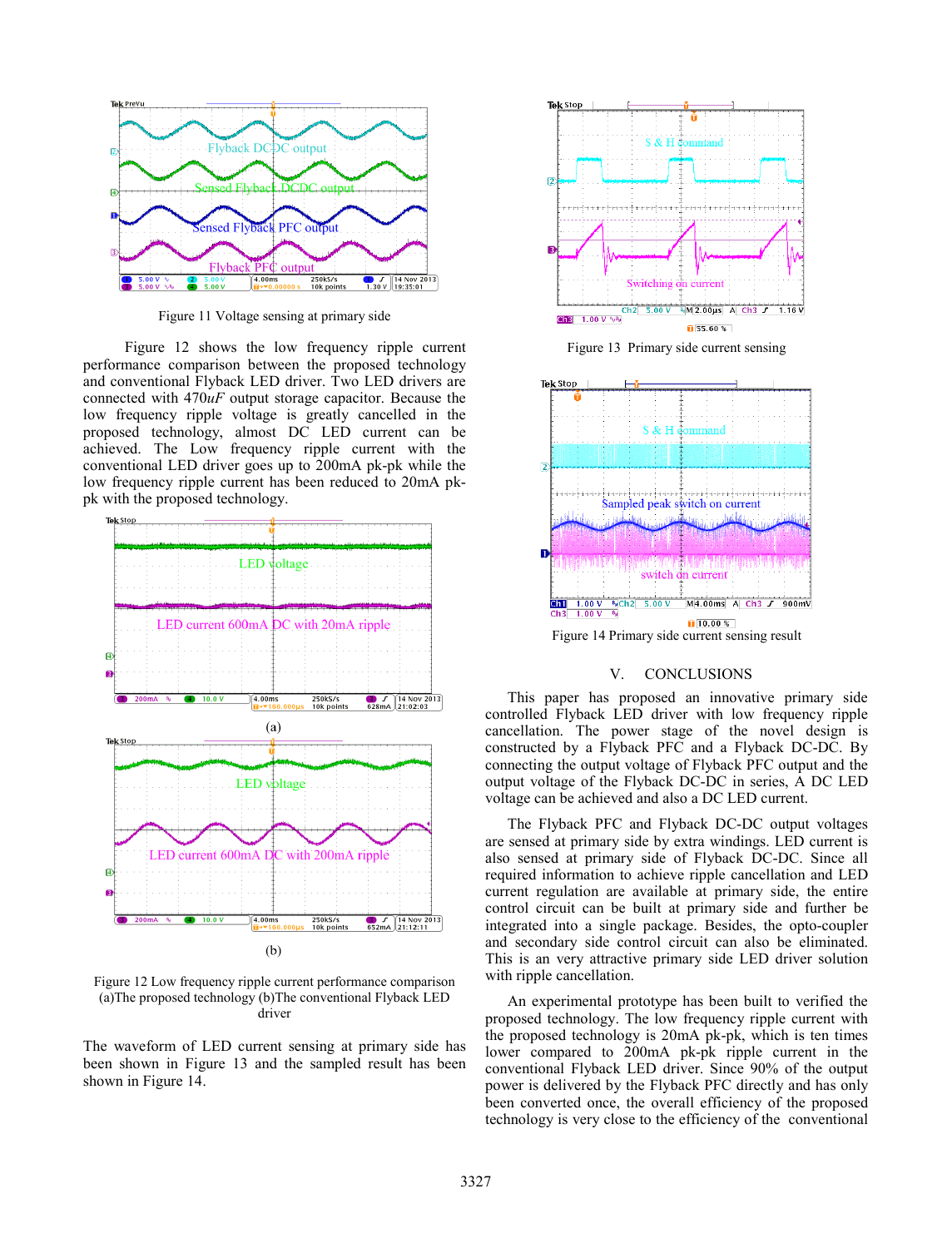

Figure 11 Voltage sensing at primary side

Figure 12 shows the low frequency ripple current performance comparison between the proposed technology and conventional Flyback LED driver. Two LED drivers are connected with 470*uF* output storage capacitor. Because the low frequency ripple voltage is greatly cancelled in the proposed technology, almost DC LED current can be achieved. The Low frequency ripple current with the conventional LED driver goes up to 200mA pk-pk while the low frequency ripple current has been reduced to 20mA pkpk with the proposed technology.



Figure 12 Low frequency ripple current performance comparison (a)The proposed technology (b)The conventional Flyback LED driver

The waveform of LED current sensing at primary side has been shown in Figure 13 and the sampled result has been shown in Figure 14.



# V. CONCLUSIONS

This paper has proposed an innovative primary side controlled Flyback LED driver with low frequency ripple cancellation. The power stage of the novel design is constructed by a Flyback PFC and a Flyback DC-DC. By connecting the output voltage of Flyback PFC output and the output voltage of the Flyback DC-DC in series, A DC LED voltage can be achieved and also a DC LED current.

The Flyback PFC and Flyback DC-DC output voltages are sensed at primary side by extra windings. LED current is also sensed at primary side of Flyback DC-DC. Since all required information to achieve ripple cancellation and LED current regulation are available at primary side, the entire control circuit can be built at primary side and further be integrated into a single package. Besides, the opto-coupler and secondary side control circuit can also be eliminated. This is an very attractive primary side LED driver solution with ripple cancellation.

An experimental prototype has been built to verified the proposed technology. The low frequency ripple current with the proposed technology is 20mA pk-pk, which is ten times lower compared to 200mA pk-pk ripple current in the conventional Flyback LED driver. Since 90% of the output power is delivered by the Flyback PFC directly and has only been converted once, the overall efficiency of the proposed technology is very close to the efficiency of the conventional